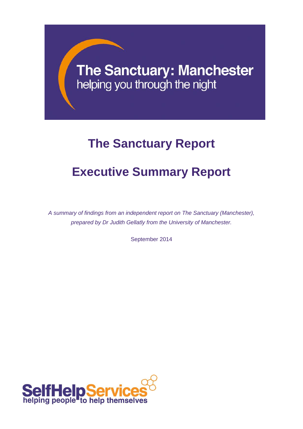# **The Sanctuary: Manchester** helping you through the night

# **The Sanctuary Report**

## **Executive Summary Report**

*A summary of findings from an independent report on The Sanctuary (Manchester), prepared by Dr Judith Gellatly from the University of Manchester.*

September 2014

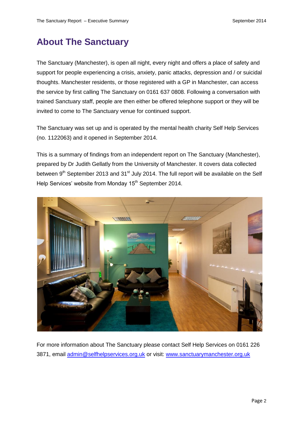## **About The Sanctuary**

The Sanctuary (Manchester), is open all night, every night and offers a place of safety and support for people experiencing a crisis, anxiety, panic attacks, depression and / or suicidal thoughts. Manchester residents, or those registered with a GP in Manchester, can access the service by first calling The Sanctuary on 0161 637 0808. Following a conversation with trained Sanctuary staff, people are then either be offered telephone support or they will be invited to come to The Sanctuary venue for continued support.

The Sanctuary was set up and is operated by the mental health charity Self Help Services (no. 1122063) and it opened in September 2014.

This is a summary of findings from an independent report on The Sanctuary (Manchester), prepared by Dr Judith Gellatly from the University of Manchester. It covers data collected between 9<sup>th</sup> September 2013 and 31<sup>st</sup> July 2014. The full report will be available on the Self Help Services' website from Monday 15<sup>th</sup> September 2014.



For more information about The Sanctuary please contact Self Help Services on 0161 226 3871, email [admin@selfhelpservices.org.uk](mailto:admin@selfhelpservices.org.uk) or visit: [www.sanctuarymanchester.org.uk](http://www.sanctuarymanchester.org.uk/)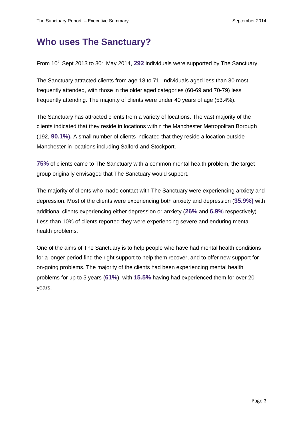#### **Who uses The Sanctuary?**

From 10<sup>th</sup> Sept 2013 to 30<sup>th</sup> May 2014, 292 individuals were supported by The Sanctuary.

The Sanctuary attracted clients from age 18 to 71. Individuals aged less than 30 most frequently attended, with those in the older aged categories (60-69 and 70-79) less frequently attending. The majority of clients were under 40 years of age (53.4%).

The Sanctuary has attracted clients from a variety of locations. The vast majority of the clients indicated that they reside in locations within the Manchester Metropolitan Borough (192, **90.1%).** A small number of clients indicated that they reside a location outside Manchester in locations including Salford and Stockport.

**75%** of clients came to The Sanctuary with a common mental health problem, the target group originally envisaged that The Sanctuary would support.

The majority of clients who made contact with The Sanctuary were experiencing anxiety and depression. Most of the clients were experiencing both anxiety and depression (**35.9%)** with additional clients experiencing either depression or anxiety (**26%** and **6.9%** respectively). Less than 10% of clients reported they were experiencing severe and enduring mental health problems.

One of the aims of The Sanctuary is to help people who have had mental health conditions for a longer period find the right support to help them recover, and to offer new support for on-going problems. The majority of the clients had been experiencing mental health problems for up to 5 years (**61%**), with **15.5%** having had experienced them for over 20 years.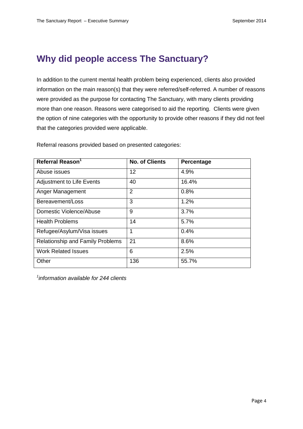## **Why did people access The Sanctuary?**

In addition to the current mental health problem being experienced, clients also provided information on the main reason(s) that they were referred/self-referred. A number of reasons were provided as the purpose for contacting The Sanctuary, with many clients providing more than one reason. Reasons were categorised to aid the reporting. Clients were given the option of nine categories with the opportunity to provide other reasons if they did not feel that the categories provided were applicable.

| Referral Reason <sup>1</sup>            | <b>No. of Clients</b> | Percentage |
|-----------------------------------------|-----------------------|------------|
| Abuse issues                            | 12                    | 4.9%       |
| <b>Adjustment to Life Events</b>        | 40                    | 16.4%      |
| Anger Management                        | $\overline{2}$        | 0.8%       |
| Bereavement/Loss                        | 3                     | 1.2%       |
| Domestic Violence/Abuse                 | 9                     | 3.7%       |
| <b>Health Problems</b>                  | 14                    | 5.7%       |
| Refugee/Asylum/Visa issues              | 1                     | 0.4%       |
| <b>Relationship and Family Problems</b> | 21                    | 8.6%       |
| <b>Work Related Issues</b>              | 6                     | 2.5%       |
| Other                                   | 136                   | 55.7%      |

Referral reasons provided based on presented categories:

*1 information available for 244 clients*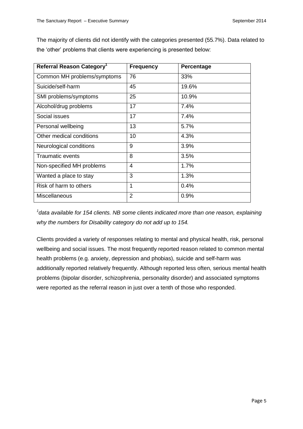The majority of clients did not identify with the categories presented (55.7%). Data related to the 'other' problems that clients were experiencing is presented below:

| Referral Reason Category <sup>1</sup> | <b>Frequency</b> | <b>Percentage</b> |
|---------------------------------------|------------------|-------------------|
| Common MH problems/symptoms           | 76               | 33%               |
| Suicide/self-harm                     | 45               | 19.6%             |
| SMI problems/symptoms                 | 25               | 10.9%             |
| Alcohol/drug problems                 | 17               | 7.4%              |
| Social issues                         | 17               | 7.4%              |
| Personal wellbeing                    | 13               | 5.7%              |
| Other medical conditions              | 10               | 4.3%              |
| Neurological conditions               | 9                | 3.9%              |
| <b>Traumatic events</b>               | 8                | 3.5%              |
| Non-specified MH problems             | 4                | 1.7%              |
| Wanted a place to stay                | 3                | 1.3%              |
| Risk of harm to others                | 1                | 0.4%              |
| <b>Miscellaneous</b>                  | $\overline{2}$   | 0.9%              |

<sup>1</sup> data available for 154 clients. NB some clients indicated more than one reason, explaining *why the numbers for Disability category do not add up to 154.*

Clients provided a variety of responses relating to mental and physical health, risk, personal wellbeing and social issues. The most frequently reported reason related to common mental health problems (e.g. anxiety, depression and phobias), suicide and self-harm was additionally reported relatively frequently. Although reported less often, serious mental health problems (bipolar disorder, schizophrenia, personality disorder) and associated symptoms were reported as the referral reason in just over a tenth of those who responded.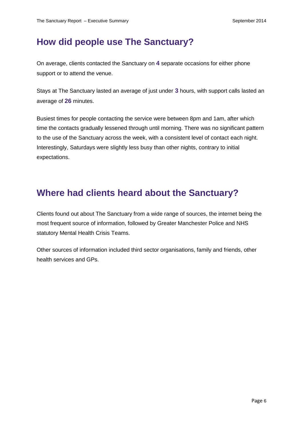## **How did people use The Sanctuary?**

On average, clients contacted the Sanctuary on **4** separate occasions for either phone support or to attend the venue.

Stays at The Sanctuary lasted an average of just under **3** hours, with support calls lasted an average of **26** minutes.

Busiest times for people contacting the service were between 8pm and 1am, after which time the contacts gradually lessened through until morning. There was no significant pattern to the use of the Sanctuary across the week, with a consistent level of contact each night. Interestingly, Saturdays were slightly less busy than other nights, contrary to initial expectations.

### **Where had clients heard about the Sanctuary?**

Clients found out about The Sanctuary from a wide range of sources, the internet being the most frequent source of information, followed by Greater Manchester Police and NHS statutory Mental Health Crisis Teams.

Other sources of information included third sector organisations, family and friends, other health services and GPs.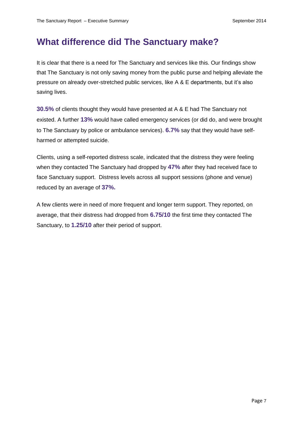#### **What difference did The Sanctuary make?**

It is clear that there is a need for The Sanctuary and services like this. Our findings show that The Sanctuary is not only saving money from the public purse and helping alleviate the pressure on already over-stretched public services, like A & E departments, but it's also saving lives.

**30.5%** of clients thought they would have presented at A & E had The Sanctuary not existed. A further **13%** would have called emergency services (or did do, and were brought to The Sanctuary by police or ambulance services). **6.7%** say that they would have selfharmed or attempted suicide.

Clients, using a self-reported distress scale, indicated that the distress they were feeling when they contacted The Sanctuary had dropped by **47%** after they had received face to face Sanctuary support. Distress levels across all support sessions (phone and venue) reduced by an average of **37%.**

A few clients were in need of more frequent and longer term support. They reported, on average, that their distress had dropped from **6.75/10** the first time they contacted The Sanctuary, to **1.25/10** after their period of support.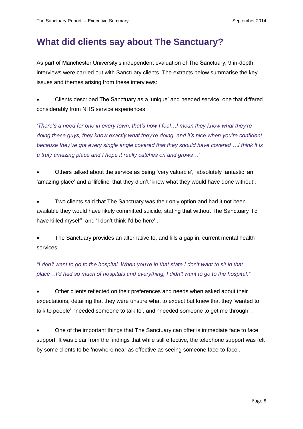#### **What did clients say about The Sanctuary?**

As part of Manchester University's independent evaluation of The Sanctuary, 9 in-depth interviews were carried out with Sanctuary clients. The extracts below summarise the key issues and themes arising from these interviews:

 Clients described The Sanctuary as a 'unique' and needed service, one that differed considerably from NHS service experiences:

*'There's a need for one in every town, that's how I feel…I mean they know what they're doing these guys, they know exactly what they're doing, and it's nice when you're confident because they've got every single angle covered that they should have covered …I think it is a truly amazing place and I hope it really catches on and grows…'* 

 Others talked about the service as being 'very valuable', 'absolutely fantastic' an 'amazing place' and a 'lifeline' that they didn't 'know what they would have done without'.

 Two clients said that The Sanctuary was their only option and had it not been available they would have likely committed suicide, stating that without The Sanctuary 'I'd have killed myself' and 'I don't think I'd be here' .

 The Sanctuary provides an alternative to, and fills a gap in, current mental health services.

*"I don't want to go to the hospital. When you're in that state I don't want to sit in that place…I'd had so much of hospitals and everything, I didn't want to go to the hospital."*

 Other clients reflected on their preferences and needs when asked about their expectations, detailing that they were unsure what to expect but knew that they 'wanted to talk to people', 'needed someone to talk to', and 'needed someone to get me through' .

 One of the important things that The Sanctuary can offer is immediate face to face support. It was clear from the findings that while still effective, the telephone support was felt by some clients to be 'nowhere near as effective as seeing someone face-to-face'.